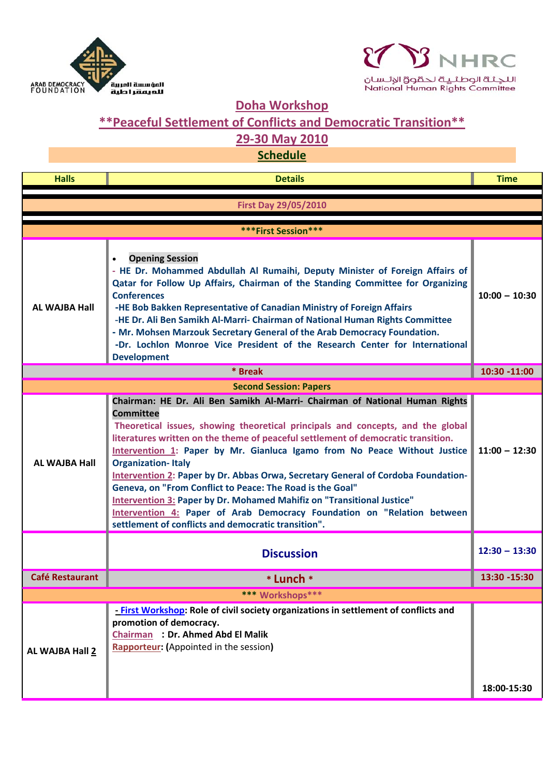



## **Doha Workshop**

## **\*\*Peaceful Settlement of Conflicts and Democratic Transition\*\***

## **29‐30 May 2010**

**Schedule**

| <b>Halls</b>                | <b>Details</b>                                                                                                                                                                                                                                                                                                                                                                                                                                                                                                                                                                                                                                                                                                                                         | <b>Time</b>     |  |
|-----------------------------|--------------------------------------------------------------------------------------------------------------------------------------------------------------------------------------------------------------------------------------------------------------------------------------------------------------------------------------------------------------------------------------------------------------------------------------------------------------------------------------------------------------------------------------------------------------------------------------------------------------------------------------------------------------------------------------------------------------------------------------------------------|-----------------|--|
| <b>First Day 29/05/2010</b> |                                                                                                                                                                                                                                                                                                                                                                                                                                                                                                                                                                                                                                                                                                                                                        |                 |  |
|                             |                                                                                                                                                                                                                                                                                                                                                                                                                                                                                                                                                                                                                                                                                                                                                        |                 |  |
| ***First Session***         |                                                                                                                                                                                                                                                                                                                                                                                                                                                                                                                                                                                                                                                                                                                                                        |                 |  |
| AL WAJBA Hall               | <b>Opening Session</b><br>$\bullet$<br>- HE Dr. Mohammed Abdullah Al Rumaihi, Deputy Minister of Foreign Affairs of<br>Qatar for Follow Up Affairs, Chairman of the Standing Committee for Organizing<br><b>Conferences</b><br>-HE Bob Bakken Representative of Canadian Ministry of Foreign Affairs<br>-HE Dr. Ali Ben Samikh Al-Marri- Chairman of National Human Rights Committee<br>- Mr. Mohsen Marzouk Secretary General of the Arab Democracy Foundation.<br>-Dr. Lochlon Monroe Vice President of the Research Center for International<br><b>Development</b>                                                                                                                                                                                  | $10:00 - 10:30$ |  |
|                             | * Break                                                                                                                                                                                                                                                                                                                                                                                                                                                                                                                                                                                                                                                                                                                                                | 10:30 -11:00    |  |
|                             | <b>Second Session: Papers</b>                                                                                                                                                                                                                                                                                                                                                                                                                                                                                                                                                                                                                                                                                                                          |                 |  |
| AL WAJBA Hall               | Chairman: HE Dr. Ali Ben Samikh Al-Marri- Chairman of National Human Rights<br><b>Committee</b><br>Theoretical issues, showing theoretical principals and concepts, and the global<br>literatures written on the theme of peaceful settlement of democratic transition.<br>Intervention 1: Paper by Mr. Gianluca Igamo from No Peace Without Justice<br><b>Organization-Italy</b><br>Intervention 2: Paper by Dr. Abbas Orwa, Secretary General of Cordoba Foundation-<br>Geneva, on "From Conflict to Peace: The Road is the Goal"<br><b>Intervention 3: Paper by Dr. Mohamed Mahifiz on "Transitional Justice"</b><br>Intervention 4: Paper of Arab Democracy Foundation on "Relation between<br>settlement of conflicts and democratic transition". | $11:00 - 12:30$ |  |
|                             | <b>Discussion</b>                                                                                                                                                                                                                                                                                                                                                                                                                                                                                                                                                                                                                                                                                                                                      | $12:30 - 13:30$ |  |
| <b>Café Restaurant</b>      | * Lunch *                                                                                                                                                                                                                                                                                                                                                                                                                                                                                                                                                                                                                                                                                                                                              | $13:30 - 15:30$ |  |
| *** Workshops***            |                                                                                                                                                                                                                                                                                                                                                                                                                                                                                                                                                                                                                                                                                                                                                        |                 |  |
| AL WAJBA Hall 2             | - First Workshop: Role of civil society organizations in settlement of conflicts and<br>promotion of democracy.<br><b>Chairman : Dr. Ahmed Abd El Malik</b><br><b>Rapporteur:</b> (Appointed in the session)                                                                                                                                                                                                                                                                                                                                                                                                                                                                                                                                           | 18:00-15:30     |  |